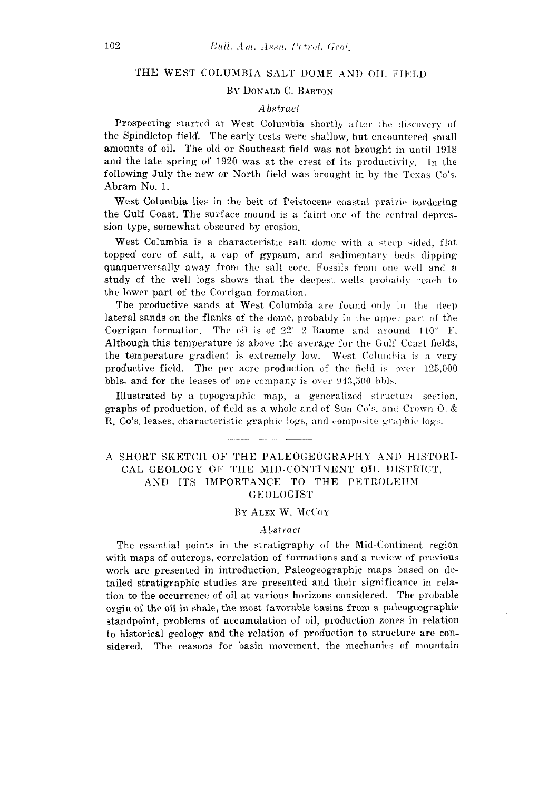# THE WEST COLUMBIA SALT DOME AND OIL FIELD

## BY DONALD C. BARTON

### *Abstract*

Prospecting started at West Columbia shortly after the discovery of the Spindletop field'. The early tests were shallow, but encountered small amounts of oil. The old or Southeast field was not brought in until 1918 and the late spring of 1920 was at the crest of its productivity. In the following July the new or North field was brought in by the Texas Co's. Abram No. 1.

West Columbia lies in the belt of Peistocene coastal prairie bordering the Gulf Coast. The surface mound is a faint one of the central depression type, somewhat obscured by erosion.

West Columbia is a characteristic salt dome with a steep sided, flat topped core of salt, a cap of gypsum, and sedimentary beds dipping quaquerversally away from the salt core. Fossils from one well and a study of the well logs shows that the deepest wells probably reach to the lower part of the Corrigan formation.

The productive sands at West Columbia are found only in the deep lateral sands on the flanks of the dome, probably in the upper part of the Corrigan formation. The oil is of  $22^{\circ}$  2 Baume and around  $110^{\circ}$  F. Although this temperature is above the average for the Gulf Coast fields, the temperature gradient is extremely low. West Columbia is a very productive field. The per acre production of the field is over 125,000 bbls. and for the leases of one company is over 943,500 bbls.

Illustrated by a topographic map, a generalized structure section, graphs of production, of field as a whole and of Sun Co's. and Crown O. & R. Co's. leases, characteristic graphic logs, and composite graphic logs.

# A SHORT SKETCH OF THE PALEOGEOGRAPHY AND HISTORI-CAL GEOLOGY OF THE MID-CONTINENT OIL DISTRICT, AND ITS IMPORTANCE TO THE PETROLEUM GEOLOGIST

## BY ALEX W. MCCOY

### *Abstract*

The essential points in the stratigraphy of the Mid-Continent region with maps of outcrops, correlation of formations and' a review of previous work are presented in introduction. Paleogeographic maps based on detailed stratigraphic studies are presented and their significance in relation to the occurrence of oil at various horizons considered. The probable orgin of the oil in shale, the most favorable basins from a paleogeographic standpoint, problems of accumulation of oil, production zones in relation to historical geology and the relation of production to structure are considered. The reasons for basin movement, the mechanics of mountain